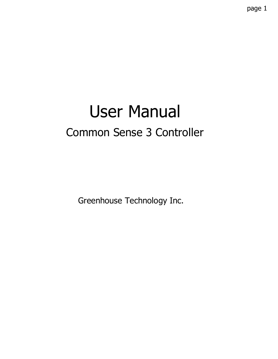# User Manual Common Sense 3 Controller

Greenhouse Technology Inc.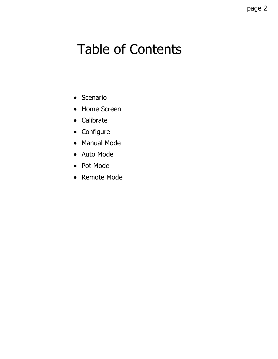## Table of Contents

- Scenario
- Home Screen
- Calibrate
- Configure
- Manual Mode
- Auto Mode
- Pot Mode
- Remote Mode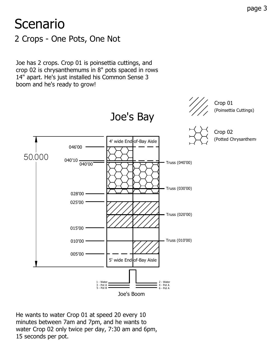## 2 Crops - One Pots, One Not **Scenario**

Joe has 2 crops. Crop 01 is poinsettia cuttings, and crop 02 is chrysanthemums in 8" pots spaced in rows 14" apart. He's just installed his Common Sense 3 boom and he's ready to grow!



He wants to water Crop 01 at speed 20 every 10 minutes between 7am and 7pm, and he wants to water Crop 02 only twice per day, 7:30 am and 6pm, 15 seconds per pot.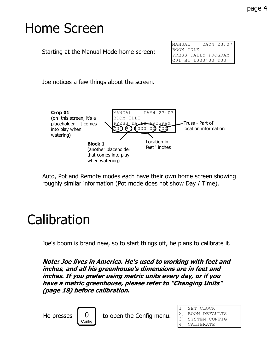## Home Screen

Starting at the Manual Mode home screen:

| MANUAL                                    |  |  |  |  | DAY4 23:07 |  |
|-------------------------------------------|--|--|--|--|------------|--|
| BOOM IDLE                                 |  |  |  |  |            |  |
| PRESS DAILY PROGRAM<br>C01 B1 L000'00 T00 |  |  |  |  |            |  |
|                                           |  |  |  |  |            |  |

Joe notices a few things about the screen.



Auto, Pot and Remote modes each have their own home screen showing roughly similar information (Pot mode does not show Day / Time).

## **Calibration**

Joe's boom is brand new, so to start things off, he plans to calibrate it.

Note: Joe lives in America. He's used to working with feet and inches, and all his greenhouse's dimensions are in feet and inches. If you prefer using metric units every day, or if you have a metric greenhouse, please refer to "Changing Units" (page 18) before calibration.



He presses  $\begin{bmatrix} 0 \\ \end{bmatrix}$  to open the Config menu.

1) SET CLOCK 2) BOOM DEFAULTS 3) SYSTEM CONFIG 4) CALIBRATE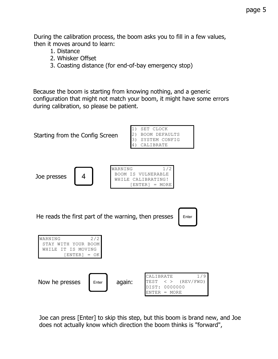During the calibration process, the boom asks you to fill in a few values, then it moves around to learn:

- 1. Distance
- 2. Whisker Offset
- 3. Coasting distance (for end-of-bay emergency stop)

Because the boom is starting from knowing nothing, and a generic configuration that might not match your boom, it might have some errors during calibration, so please be patient.



Joe can press [Enter] to skip this step, but this boom is brand new, and Joe does not actually know which direction the boom thinks is "forward",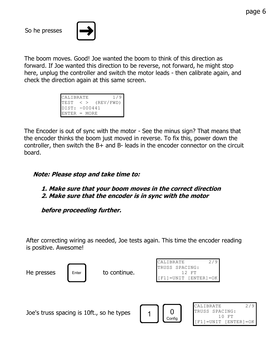So he presses



The boom moves. Good! Joe wanted the boom to think of this direction as forward. If Joe wanted this direction to be reverse, not forward, he might stop here, unplug the controller and switch the motor leads - then calibrate again, and check the direction again at this same screen.

| <b>CALIBRATE</b> |                   | 1/9       |
|------------------|-------------------|-----------|
| <b>I</b> TEST    | $\langle \rangle$ | (REV/FWD) |
| $IDIST: -000441$ |                   |           |
| FNTER = MORE     |                   |           |

The Encoder is out of sync with the motor - See the minus sign? That means that the encoder thinks the boom just moved in reverse. To fix this, power down the controller, then switch the B+ and B- leads in the encoder connector on the circuit board.

#### Note: Please stop and take time to:

#### 1. Make sure that your boom moves in the correct direction 2. Make sure that the encoder is in sync with the motor

before proceeding further.

After correcting wiring as needed, Joe tests again. This time the encoder reading is positive. Awesome!



He presses  $\parallel$  Enter  $\parallel$  to continue.

| 2/9<br>CALIBRATE           |
|----------------------------|
| TRUSS SPACING:             |
| 12 FT                      |
| $[FI] = UNIT [ENTER] = OK$ |

Joe's truss spacing is 10ft., so he types



CALIBRATE 2/9 TRUSS SPACING: 10 FT [F1]=UNIT [ENTER]=OK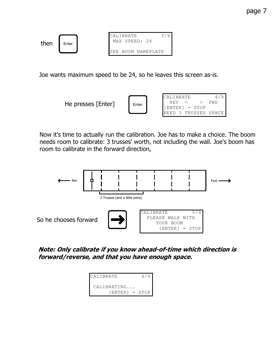

Joe wants maximum speed to be 24, so he leaves this screen as-is.



Now it's time to actually run the calibration. Joe has to make a choice. The boom needs room to calibrate: 3 trusses' worth, not including the wall. Joe's boom has room to calibrate in the forward direction,



Note: Only calibrate if you know ahead-of-time which direction is forward/reverse, and that you have enough space.

| <b>CALIBRATE</b> | 6/9 |
|------------------|-----|
| CALIBRATING      |     |
| $ ENTER  = STOP$ |     |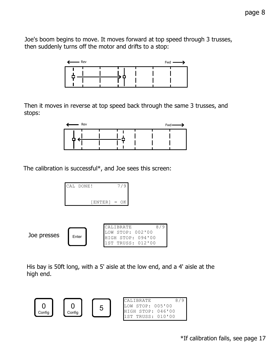Joe's boom begins to move. It moves forward at top speed through 3 trusses, then suddenly turns off the motor and drifts to a stop:



Then it moves in reverse at top speed back through the same 3 trusses, and stops:



The calibration is successful\*, and Joe sees this screen:

| CAL DONE! |                | 7/9 |  |
|-----------|----------------|-----|--|
|           | $[ENTER] = OK$ |     |  |

| Joe presses | Enter | ICAT.TRRATF<br>$LOW$ STOP: $002'00$<br>HIGH STOP: 094'00 | $\circ$ |
|-------------|-------|----------------------------------------------------------|---------|
|             |       | 11ST TRUSS: 012'00                                       |         |

His bay is 50ft long, with a 5' aisle at the low end, and a 4' aisle at the high end.

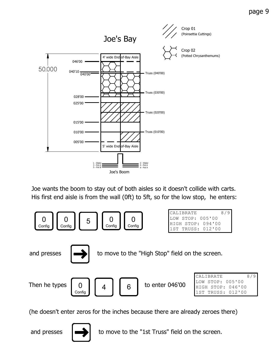

His first end aisle is from the wall (0ft) to 5ft, so for the low stop, he enters: Joe wants the boom to stay out of both aisles so it doesn't collide with carts.



(he doesn't enter zeros for the inches because there are already zeroes there)



and presses  $\left| \right|$  to move to the "1st Truss" field on the screen.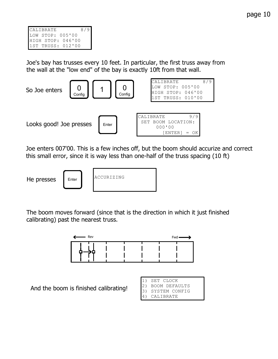Joe's bay has trusses every 10 feet. In particular, the first truss away from the wall at the "low end" of the bay is exactly 10ft from that wall.



Joe enters 007'00. This is a few inches off, but the boom should accurize and correct this small error, since it is way less than one-half of the truss spacing (10 ft)

He presses

| ACCURIZING |  |
|------------|--|
|            |  |
|            |  |

The boom moves forward (since that is the direction in which it just finished calibrating) past the nearest truss.



And the boom is finished calibrating!

| SET CLOCK     |
|---------------|
| BOOM DEFAULTS |
| SYSTEM CONFIG |
| CALIBRATE     |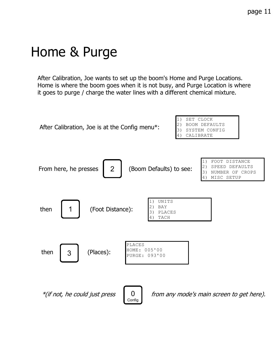## Home & Purge

After Calibration, Joe wants to set up the boom's Home and Purge Locations. Home is where the boom goes when it is not busy, and Purge Location is where it goes to purge / charge the water lines with a different chemical mixture.

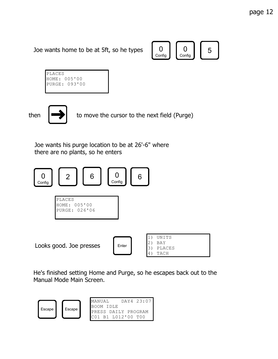Joe wants home to be at 5ft, so he types



| PLACES |               |
|--------|---------------|
|        | HOME: 005'00  |
|        | PURGE: 093'00 |
|        |               |

then  $\left| \right|$  to move the cursor to the next field (Purge)

Joe wants his purge location to be at 26'-6" where there are no plants, so he enters



He's finished setting Home and Purge, so he escapes back out to the Manual Mode Main Screen.

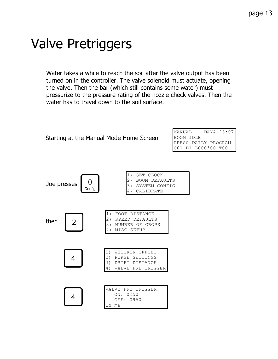## Valve Pretriggers

Water takes a while to reach the soil after the valve output has been turned on in the controller. The valve solenoid must actuate, opening the valve. Then the bar (which still contains some water) must pressurize to the pressure rating of the nozzle check valves. Then the water has to travel down to the soil surface.

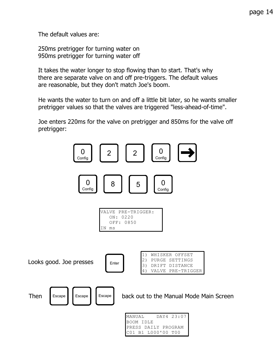The default values are:

250ms pretrigger for turning water on 950ms pretrigger for turning water off

It takes the water longer to stop flowing than to start. That's why there are separate valve on and off pre-triggers. The default values are reasonable, but they don't match Joe's boom.

He wants the water to turn on and off a little bit later, so he wants smaller pretrigger values so that the valves are triggered "less-ahead-of-time".

Joe enters 220ms for the valve on pretrigger and 850ms for the valve off pretrigger:

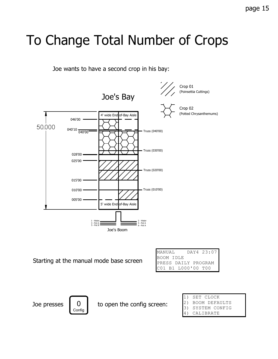## To Change Total Number of Crops

Joe wants to have a second crop in his bay:



Starting at the manual mode base screen

| MANUAL                                    | DAY4 23:07 |  |
|-------------------------------------------|------------|--|
| BOOM IDLE                                 |            |  |
|                                           |            |  |
| PRESS DAILY PROGRAM<br>C01 B1 L000'00 T00 |            |  |



Joe presses  $\begin{bmatrix} 0 \\ \end{bmatrix}$  to open the config screen:

1) SET CLOCK 2) BOOM DEFAULTS 3) SYSTEM CONFIG 4) CALIBRATE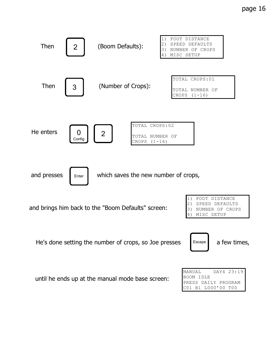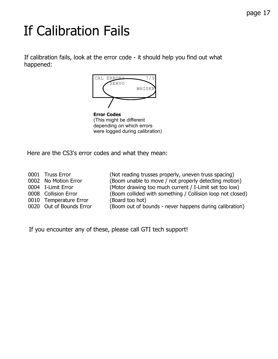# If Calibration Fails

If calibration fails, look at the error code - it should help you find out what happened:



Error Codes (This might be different depending on which errors were logged during calibration)

Here are the CS3's error codes and what they mean:

0010 Temperature Error (Board too hot)

0001 Truss Error (Not reading trusses properly, uneven truss spacing) 0002 No Motion Error (Boom unable to move / not properly detecting motion) 0004 I-Limit Error (Motor drawing too much current / I-Limit set too low) 0008 Collision Error (Boom collided with something / Collision loop not closed) 0020 Out of Bounds Error (Boom out of bounds - never happens during calibration)

If you encounter any of these, please call GTI tech support!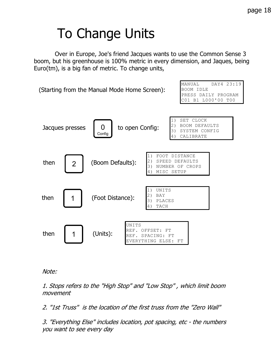## To Change Units

 Over in Europe, Joe's friend Jacques wants to use the Common Sense 3 boom, but his greenhouse is 100% metric in every dimension, and Jaques, being Euro(tm), is a big fan of metric. To change units,



Note:

1. Stops refers to the "High Stop" and "Low Stop" , which limit boom movement

2. "1st Truss" is the location of the first truss from the "Zero Wall"

3. "Everything Else" includes location, pot spacing, etc - the numbers you want to see every day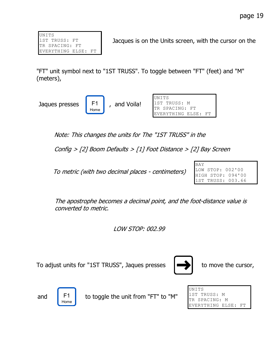UNITS 1ST TRUSS: FT TR SPACING: FT EVERYTHING ELSE: FT

Jacques is on the Units screen, with the cursor on the

"FT" unit symbol next to "1ST TRUSS". To toggle between "FT" (feet) and "M" (meters),

Jaques presses  $\begin{vmatrix} F1 & , \end{vmatrix}$  and Voila!

F1 Home

| <b>IINTTS</b>       |  |
|---------------------|--|
| 1ST TRUSS: M        |  |
| TR SPACING: FT      |  |
| EVERYTHING ELSE: FT |  |

Note: This changes the units for The "1ST TRUSS" in the

Config > [2] Boom Defaults > [1] Foot Distance > [2] Bay Screen

To metric (with two decimal places - centimeters)

BAY LOW STOP: 002'00 HIGH STOP: 094'00 1ST TRUSS: 003.66

The apostrophe becomes a decimal point, and the foot-distance value is converted to metric.

LOW STOP: 002.99

To adjust units for "1ST TRUSS", Jaques presses  $\Box$  to move the cursor,



Home

and  $\begin{bmatrix} F1 \\ F2 \end{bmatrix}$  to toggle the unit from "FT" to "M"

| UNITS               |  |
|---------------------|--|
| 1ST TRUSS: M        |  |
| TR SPACING: M       |  |
| EVERYTHING ELSE: FT |  |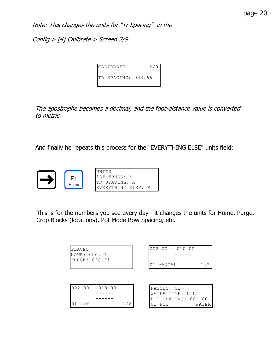Note: This changes the units for "Tr Spacing" in the

Config > [4] Calibrate > Screen 2/9

| CALIBRATE          | 2/9 |
|--------------------|-----|
| TR SPACING: 003.66 |     |

The apostrophe becomes a decimal, and the foot-distance value is converted to metric.

And finally he repeats this process for the "EVERYTHING ELSE" units field:



This is for the numbers you see every day - it changes the units for Home, Purge, Crop Blocks (locations), Pot Mode Row Spacing, etc.

| PLACES<br>HOME: 000.91 |     | $002.00 - 010.00$                      |       |
|------------------------|-----|----------------------------------------|-------|
| PURGE: 028.35          |     | MANUAL<br>01                           |       |
|                        |     |                                        |       |
| $002.00 - 010.00$      |     | PASSES: 02                             |       |
|                        |     | WATER TIME: 010<br>POT SPACING: 001.00 |       |
| POT                    | 1/2 | POT<br>O 1                             | WATER |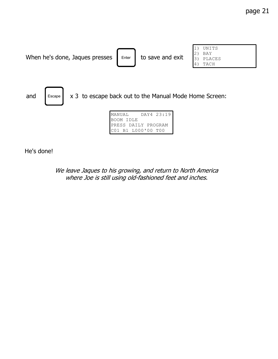

| MANUAL              | DAY4 23:19 |
|---------------------|------------|
| BOOM IDLE           |            |
| PRESS DAILY PROGRAM |            |
| C01 B1 L000'00 T00  |            |

He's done!

#### We leave Jaques to his growing, and return to North America where Joe is still using old-fashioned feet and inches.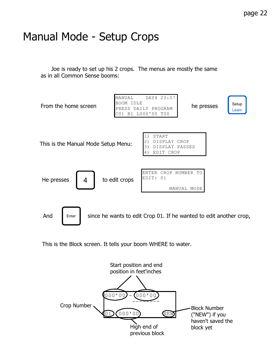### Manual Mode - Setup Crops

 Joe is ready to set up his 2 crops. The menus are mostly the same as in all Common Sense booms:



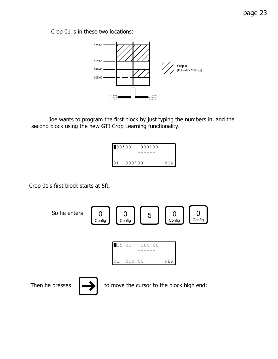page 23

Crop 01 is in these two locations:



 Joe wants to program the first block by just typing the numbers in, and the second block using the new GTI Crop Learning functionality.



Crop 01's first block starts at 5ft,

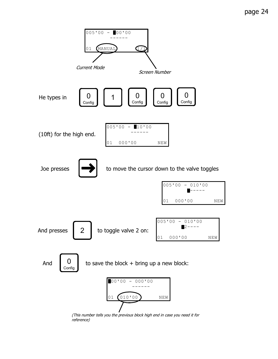

(This number tells you the previous block high end in case you need it for reference)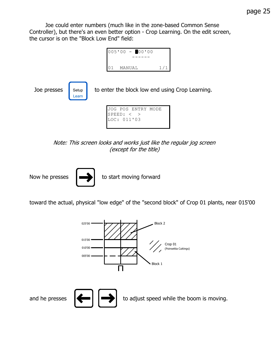Joe could enter numbers (much like in the zone-based Common Sense Controller), but there's an even better option - Crop Learning. On the edit screen, the cursor is on the "Block Low End" field:



Note: This screen looks and works just like the regular jog screen (except for the title)



toward the actual, physical "low edge" of the "second block" of Crop 01 plants, near 015'00

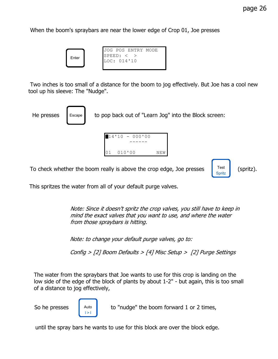When the boom's spraybars are near the lower edge of Crop 01, Joe presses



 Two inches is too small of a distance for the boom to jog effectively. But Joe has a cool new tool up his sleeve: The "Nudge".



To check whether the boom really is above the crop edge, Joe presses  $\begin{bmatrix} \text{Test} \\ \text{Spritz} \end{bmatrix}$  (spritz).

Spritz

This spritzes the water from all of your default purge valves.

Note: Since it doesn't spritz the crop valves, you still have to keep in mind the exact valves that you want to use, and where the water from those spraybars is hitting.

Note: to change your default purge valves, go to:

Config > [2] Boom Defaults > [4] Misc Setup > [2] Purge Settings

The water from the spraybars that Joe wants to use for this crop is landing on the low side of the edge of the block of plants by about 1-2" - but again, this is too small of a distance to jog effectively,



So he presses  $\begin{bmatrix} \frac{1}{2} \\ \frac{1}{2} \\ \frac{1}{2} \\ \frac{1}{2} \\ \frac{1}{2} \\ \frac{1}{2} \\ \frac{1}{2} \\ \frac{1}{2} \\ \frac{1}{2} \\ \frac{1}{2} \\ \frac{1}{2} \\ \frac{1}{2} \\ \frac{1}{2} \\ \frac{1}{2} \\ \frac{1}{2} \\ \frac{1}{2} \\ \frac{1}{2} \\ \frac{1}{2} \\ \frac{1}{2} \\ \frac{1}{2} \\ \frac{1}{2} \\ \frac{1}{2} \\ \frac{1}{2} \\ \frac{1}{2} \\ \frac{1}{2} \\$ 

until the spray bars he wants to use for this block are over the block edge.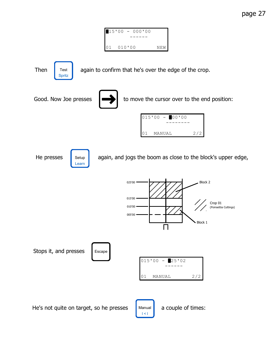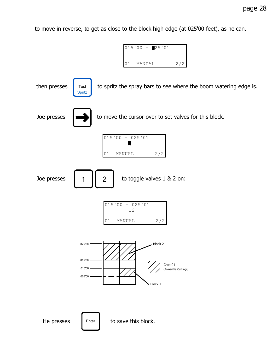to move in reverse, to get as close to the block high edge (at 025'00 feet), as he can.

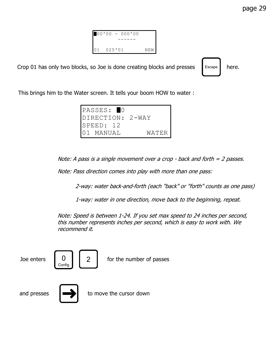$00'00 - 000'00$  ------ 01 025'01 NEW

Crop 01 has only two blocks, so Joe is done creating blocks and presses  $\left| \right|$  Escape here.

Escape

This brings him to the Water screen. It tells your boom HOW to water :

| PASSES: 10       |                    |
|------------------|--------------------|
| DIRECTION: 2-WAY |                    |
| SPEED: 12        |                    |
| 101 MANUAL       | WATER <sup>I</sup> |

Note: A pass is a single movement over a crop - back and forth = 2 passes.

Note: Pass direction comes into play with more than one pass:

2-way: water back-and-forth (each "back" or "forth" counts as one pass)

1-way: water in one direction, move back to the beginning, repeat.

Note: Speed is between 1-24. If you set max speed to 24 inches per second, this number represents inches per second, which is easy to work with. We recommend it.

| Joe enters  | $\begin{bmatrix} 0 \\$ Config | $\overline{2}$ | for the number of passes |
|-------------|-------------------------------|----------------|--------------------------|
| and presses |                               |                | to move the cursor down  |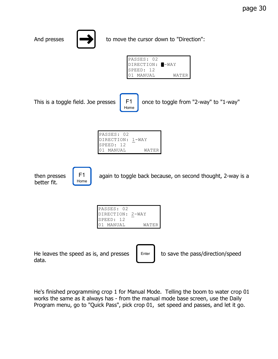

better fit.

F1 Home

then presses  $\begin{vmatrix} F1 & \text{again to toggle back because, on second thought, 2-way is a \end{vmatrix}$ 

| PASSES: 02       |       |
|------------------|-------|
| DIRECTION: 2-WAY |       |
| SPEED: 12        |       |
| 01 MANUAL        | WATER |

He leaves the speed as is, and presses  $\parallel$  Enter  $\parallel$  to save the pass/direction/speed data.

He's finished programming crop 1 for Manual Mode. Telling the boom to water crop 01 works the same as it always has - from the manual mode base screen, use the Daily Program menu, go to "Quick Pass", pick crop 01, set speed and passes, and let it go.

Enter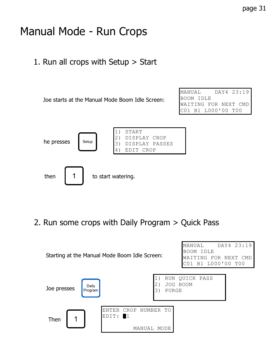### Manual Mode - Run Crops

1. Run all crops with Setup > Start

Joe starts at the Manual Mode Boom Idle Screen:

MANUAL DAY4 23:19 BOOM IDLE WAITING FOR NEXT CMD C01 B1 L000'00 T00



2. Run some crops with Daily Program > Quick Pass

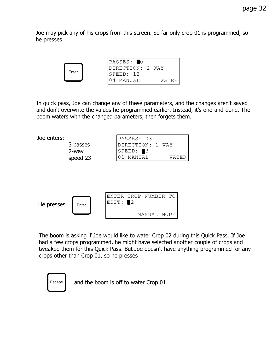Joe may pick any of his crops from this screen. So far only crop 01 is programmed, so he presses



In quick pass, Joe can change any of these parameters, and the changes aren't saved and don't overwrite the values he programmed earlier. Instead, it's one-and-done. The boom waters with the changed parameters, then forgets them.



The boom is asking if Joe would like to water Crop 02 during this Quick Pass. If Joe had a few crops programmed, he might have selected another couple of crops and tweaked them for this Quick Pass. But Joe doesn't have anything programmed for any crops other than Crop 01, so he presses



 $E_{\text{scape}}$  and the boom is off to water Crop 01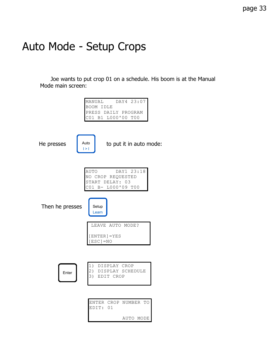### Auto Mode - Setup Crops

 Joe wants to put crop 01 on a schedule. His boom is at the Manual Mode main screen:

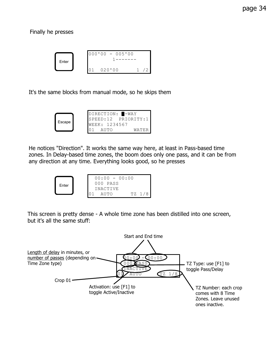Finally he presses



It's the same blocks from manual mode, so he skips them

|        |  | DIRECTION: <b>I-WAY</b> |  |
|--------|--|-------------------------|--|
|        |  | SPEED:12 PRIORITY:1     |  |
| Escape |  | WEEK: 1234567           |  |
|        |  |                         |  |

He notices "Direction". It works the same way here, at least in Pass-based time zones. In Delay-based time zones, the boom does only one pass, and it can be from any direction at any time. Everything looks good, so he presses



This screen is pretty dense - A whole time zone has been distilled into one screen, but it's all the same stuff:

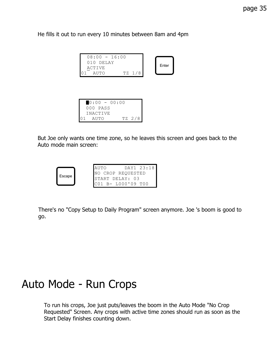He fills it out to run every 10 minutes between 8am and 4pm

| $08:00 - 16:00$<br>$010$ DELAY |        | Enter |  |
|--------------------------------|--------|-------|--|
| <b>ACTIVE</b>                  |        |       |  |
| AUTO                           | TZ 1/8 |       |  |

| $0:00 - 00:00$ |  |  |        |
|----------------|--|--|--------|
| 000 PASS       |  |  |        |
| INACTIVE       |  |  |        |
| AUTO           |  |  | TZ 2/8 |

But Joe only wants one time zone, so he leaves this screen and goes back to the Auto mode main screen:



There's no "Copy Setup to Daily Program" screen anymore. Joe 's boom is good to go.

#### Auto Mode - Run Crops

To run his crops, Joe just puts/leaves the boom in the Auto Mode "No Crop Requested" Screen. Any crops with active time zones should run as soon as the Start Delay finishes counting down.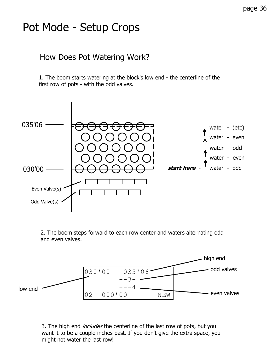## Pot Mode - Setup Crops

#### How Does Pot Watering Work?

1. The boom starts watering at the block's low end - the centerline of the first row of pots - with the odd valves.



2. The boom steps forward to each row center and waters alternating odd and even valves.



3. The high end *includes* the centerline of the last row of pots, but you want it to be a couple inches past. If you don't give the extra space, you might not water the last row!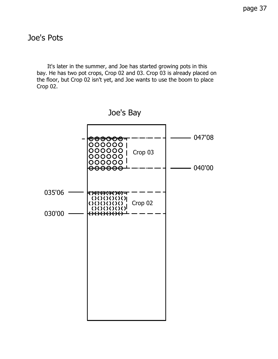#### Joe's Pots

 It's later in the summer, and Joe has started growing pots in this bay. He has two pot crops, Crop 02 and 03. Crop 03 is already placed on the floor, but Crop 02 isn't yet, and Joe wants to use the boom to place Crop 02.

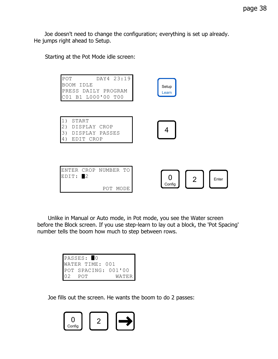Joe doesn't need to change the configuration; everything is set up already. He jumps right ahead to Setup.

Starting at the Pot Mode idle screen:

| DAY4 23:19<br>POT<br>BOOM IDLE<br>PRESS DAILY PROGRAM<br>C01 B1 L000'00 T00  | Setup<br>Learn       |
|------------------------------------------------------------------------------|----------------------|
| 1)<br>START<br>2)<br>DISPLAY CROP<br>3)<br>DISPLAY PASSES<br>4)<br>EDIT CROP |                      |
| ENTER CROP NUMBER TO<br>EDIT: 2<br>MODE<br>POT                               | 2<br>Enter<br>Config |

 Unlike in Manual or Auto mode, in Pot mode, you see the Water screen before the Block screen. If you use step-learn to lay out a block, the 'Pot Spacing' number tells the boom how much to step between rows.

| PASSES: 0           |       |
|---------------------|-------|
| WATER TIME: 001     |       |
| POT SPACING: 001'00 |       |
| POT                 | WATER |

Joe fills out the screen. He wants the boom to do 2 passes:

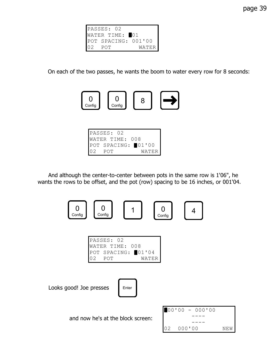

On each of the two passes, he wants the boom to water every row for 8 seconds:



| PASSES: 02         |       |
|--------------------|-------|
| WATER TIME: 008    |       |
| POT SPACING: 01'00 |       |
| POT                | WATER |

 And although the center-to-center between pots in the same row is 1'06", he wants the rows to be offset, and the pot (row) spacing to be 16 inches, or 001'04.



|    | PASSES: 02         |       |
|----|--------------------|-------|
|    | WATER TIME: 008    |       |
|    | POT SPACING: 01'04 |       |
| 02 | - POT              | WATER |

Looks good! Joe presses



and now he's at the block screen:

|                 |        | $100'00 - 000'00$ |       |
|-----------------|--------|-------------------|-------|
|                 |        |                   |       |
|                 |        |                   |       |
| 02 <sub>o</sub> | 000'00 |                   | NEW I |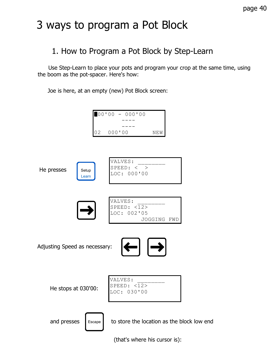### 3 ways to program a Pot Block

#### 1. How to Program a Pot Block by Step-Learn

 Use Step-Learn to place your pots and program your crop at the same time, using the boom as the pot-spacer. Here's how:

Joe is here, at an empty (new) Pot Block screen:



(that's where his cursor is):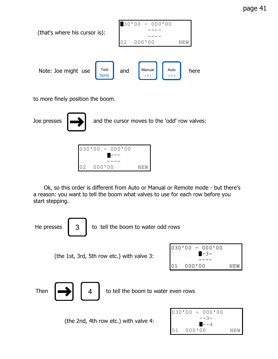page 41



to more finely position the boom.

Joe presses  $\Box$  and the cursor moves to the 'odd' row valves:

|  |           | $030'00 - 000'00$ |      |
|--|-----------|-------------------|------|
|  |           |                   |      |
|  |           |                   |      |
|  | 02 000'00 |                   | NF.W |

 Ok, so this order is different from Auto or Manual or Remote mode - but there's a reason: you want to tell the boom what valves to use for each row before you start stepping.

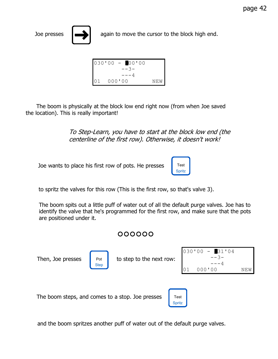

Joe presses  $\left| \right|$  again to move the cursor to the block high end.

| $030'00 - 00'00$ |     |
|------------------|-----|
| $--3-$           |     |
| ——— 4            |     |
| 000'00           | NFW |

 The boom is physically at the block low end right now (from when Joe saved the location). This is really important!

> To Step-Learn, you have to start at the block low end (the centerline of the first row). Otherwise, it doesn't work!

Joe wants to place his first row of pots. He presses



to spritz the valves for this row (This is the first row, so that's valve 3).

The boom spits out a little puff of water out of all the default purge valves. Joe has to identify the valve that he's programmed for the first row, and make sure that the pots are positioned under it.

#### 000000



and the boom spritzes another puff of water out of the default purge valves.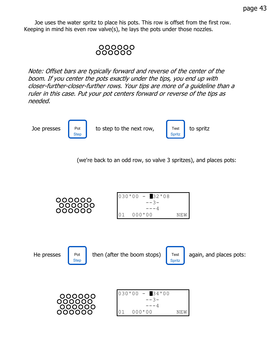Joe uses the water spritz to place his pots. This row is offset from the first row. Keeping in mind his even row valve(s), he lays the pots under those nozzles.

## 000000<br>000000

Note: Offset bars are typically forward and reverse of the center of the boom. If you center the pots exactly under the tips, you end up with closer-further-closer-further rows. Your tips are more of a guideline than a ruler in this case. Put your pot centers forward or reverse of the tips as needed.

Pot Step

Joe presses to step to the next row, to spritz



(we're back to an odd row, so valve 3 spritzes), and places pots:

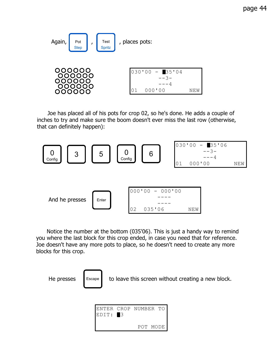

 Joe has placed all of his pots for crop 02, so he's done. He adds a couple of inches to try and make sure the boom doesn't ever miss the last row (otherwise, that can definitely happen):



 Notice the number at the bottom (035'06). This is just a handy way to remind you where the last block for this crop ended, in case you need that for reference. Joe doesn't have any more pots to place, so he doesn't need to create any more blocks for this crop.



He presses  $\parallel$  Escape  $\parallel$  to leave this screen without creating a new block.

| $EDIT: \blacksquare 3$ | ENTER CROP NUMBER TO |  |  |
|------------------------|----------------------|--|--|
|                        | POT MODE             |  |  |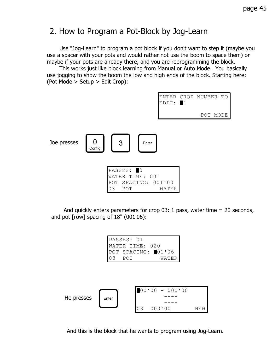#### 2. How to Program a Pot-Block by Jog-Learn

 Use "Jog-Learn" to program a pot block if you don't want to step it (maybe you use a spacer with your pots and would rather not use the boom to space them) or maybe if your pots are already there, and you are reprogramming the block.

 This works just like block learning from Manual or Auto Mode. You basically use jogging to show the boom the low and high ends of the block. Starting here: (Pot Mode > Setup > Edit Crop):



 And quickly enters parameters for crop 03: 1 pass, water time = 20 seconds, and pot [row] spacing of 18" (001'06):

```
PASSES: 01
WATER TIME: 020
POT SPACING: 01'06
03 POT WATER
```


And this is the block that he wants to program using Jog-Learn.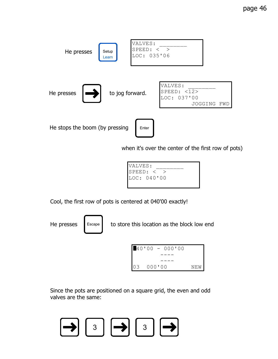

when it's over the center of the first row of pots)



Cool, the first row of pots is centered at 040'00 exactly!

Escape

He presses  $\parallel$  Escape  $\parallel$  to store this location as the block low end



Since the pots are positioned on a square grid, the even and odd valves are the same:

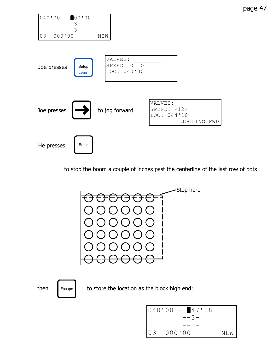

to stop the boom a couple of inches past the centerline of the last row of pots

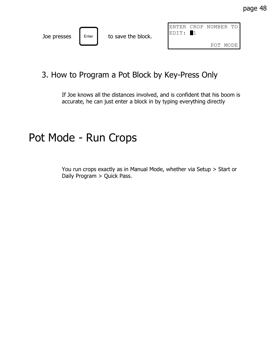|             |       |                    | IENTER CROP |      | NUMBER TO |       |
|-------------|-------|--------------------|-------------|------|-----------|-------|
| Joe presses | Enter | to save the block. | EDIT:       | - 11 |           |       |
|             |       |                    |             |      | P∩T       | MODE. |

#### 3. How to Program a Pot Block by Key-Press Only

If Joe knows all the distances involved, and is confident that his boom is accurate, he can just enter a block in by typing everything directly

#### Pot Mode - Run Crops

You run crops exactly as in Manual Mode, whether via Setup > Start or Daily Program > Quick Pass.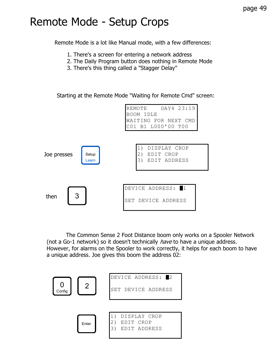### Remote Mode - Setup Crops

Remote Mode is a lot like Manual mode, with a few differences:

- 1. There's a screen for entering a network address
- 2. The Daily Program button does nothing in Remote Mode
- 3. There's this thing called a "Stagger Delay"

Starting at the Remote Mode "Waiting for Remote Cmd" screen:



 The Common Sense 2 Foot Distance boom only works on a Spooler Network (not a Go-1 network) so it doesn't technically *have* to have a unique address. However, for alarms on the Spooler to work correctly, it helps for each boom to have a unique address. Joe gives this boom the address 02:

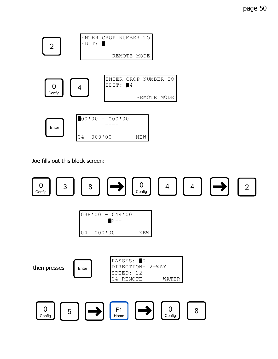

Joe fills out this block screen:

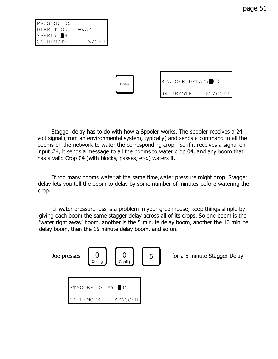page 51

PASSES: 05 DIRECTION: 1-WAY  $SPEED:  $\blacksquare 8$$ 04 REMOTE WATER



 Stagger delay has to do with how a Spooler works. The spooler receives a 24 volt signal (from an environmental system, typically) and sends a command to all the booms on the network to water the corresponding crop. So if it receives a signal on input #4, it sends a message to all the booms to water crop 04, and any boom that has a valid Crop 04 (with blocks, passes, etc.) waters it.

 If too many booms water at the same time,water pressure might drop. Stagger delay lets you tell the boom to delay by some number of minutes before watering the crop.

 If water pressure loss is a problem in your greenhouse, keep things simple by giving each boom the same stagger delay across all of its crops. So one boom is the 'water right away' boom, another is the 5 minute delay boom, another the 10 minute delay boom, then the 15 minute delay boom, and so on.

| Joe presses |   | Config            | Config  | 5 | for a 5 minute Stagger Delay. |
|-------------|---|-------------------|---------|---|-------------------------------|
|             |   | STAGGER DELAY: 05 |         |   |                               |
|             | 4 | TЕ<br>REM         | STAGGER |   |                               |